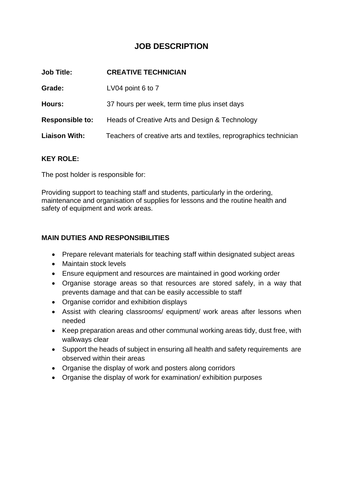# **JOB DESCRIPTION**

| <b>CREATIVE TECHNICIAN</b>                                       |
|------------------------------------------------------------------|
| LV04 point 6 to 7                                                |
| 37 hours per week, term time plus inset days                     |
| Heads of Creative Arts and Design & Technology                   |
| Teachers of creative arts and textiles, reprographics technician |
|                                                                  |

#### **KEY ROLE:**

The post holder is responsible for:

Providing support to teaching staff and students, particularly in the ordering, maintenance and organisation of supplies for lessons and the routine health and safety of equipment and work areas.

#### **MAIN DUTIES AND RESPONSIBILITIES**

- Prepare relevant materials for teaching staff within designated subject areas
- Maintain stock levels
- Ensure equipment and resources are maintained in good working order
- Organise storage areas so that resources are stored safely, in a way that prevents damage and that can be easily accessible to staff
- Organise corridor and exhibition displays
- Assist with clearing classrooms/ equipment/ work areas after lessons when needed
- Keep preparation areas and other communal working areas tidy, dust free, with walkways clear
- Support the heads of subject in ensuring all health and safety requirements are observed within their areas
- Organise the display of work and posters along corridors
- Organise the display of work for examination/ exhibition purposes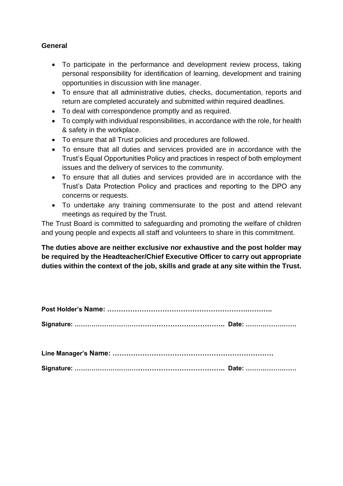### **General**

- To participate in the performance and development review process, taking personal responsibility for identification of learning, development and training opportunities in discussion with line manager.
- To ensure that all administrative duties, checks, documentation, reports and return are completed accurately and submitted within required deadlines.
- To deal with correspondence promptly and as required.
- To comply with individual responsibilities, in accordance with the role, for health & safety in the workplace.
- To ensure that all Trust policies and procedures are followed.
- To ensure that all duties and services provided are in accordance with the Trust's Equal Opportunities Policy and practices in respect of both employment issues and the delivery of services to the community.
- To ensure that all duties and services provided are in accordance with the Trust's Data Protection Policy and practices and reporting to the DPO any concerns or requests.
- To undertake any training commensurate to the post and attend relevant meetings as required by the Trust.

The Trust Board is committed to safeguarding and promoting the welfare of children and young people and expects all staff and volunteers to share in this commitment.

**The duties above are neither exclusive nor exhaustive and the post holder may be required by the Headteacher/Chief Executive Officer to carry out appropriate duties within the context of the job, skills and grade at any site within the Trust.**